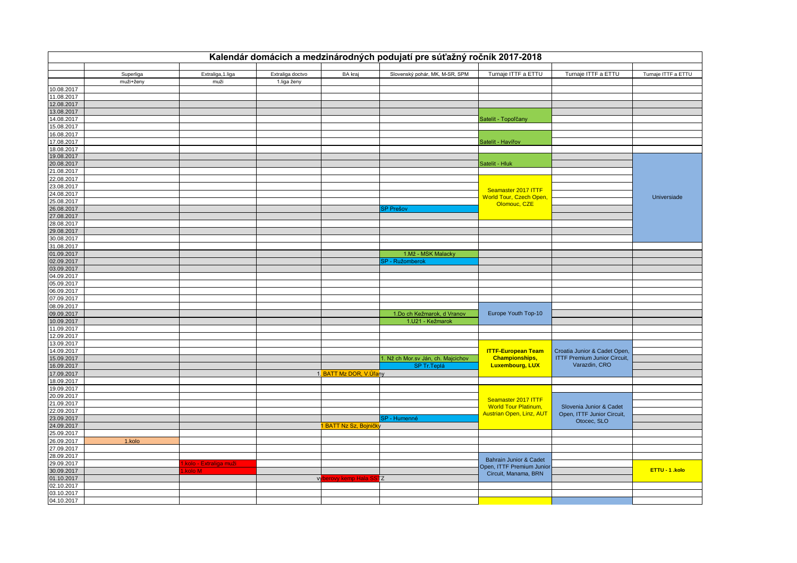| Kalendár domácich a medzinárodných podujatí pre súťažný ročník 2017-2018 |           |                        |                  |                            |                                    |                                                   |                                     |                     |
|--------------------------------------------------------------------------|-----------|------------------------|------------------|----------------------------|------------------------------------|---------------------------------------------------|-------------------------------------|---------------------|
|                                                                          | Superliga | Extraliga, 1.liga      | Extraliga doctvo | <b>BA</b> kraj             | Slovenský pohár, MK, M-SR, SPM     | Turnaje ITTF a ETTU                               | Turnaje ITTF a ETTU                 | Turnaje ITTF a ETTU |
|                                                                          | muži+ženy | muži                   | 1.liga ženy      |                            |                                    |                                                   |                                     |                     |
| 10.08.2017                                                               |           |                        |                  |                            |                                    |                                                   |                                     |                     |
| 11.08.2017                                                               |           |                        |                  |                            |                                    |                                                   |                                     |                     |
| 12.08.2017                                                               |           |                        |                  |                            |                                    |                                                   |                                     |                     |
| 13.08.2017                                                               |           |                        |                  |                            |                                    |                                                   |                                     |                     |
| 14.08.2017                                                               |           |                        |                  |                            |                                    | Satelit - Topoľčany                               |                                     |                     |
| 15.08.2017                                                               |           |                        |                  |                            |                                    |                                                   |                                     |                     |
| 16.08.2017                                                               |           |                        |                  |                            |                                    |                                                   |                                     |                     |
| 17.08.2017                                                               |           |                        |                  |                            |                                    | Satelit - Havířov                                 |                                     |                     |
| 18.08.2017                                                               |           |                        |                  |                            |                                    |                                                   |                                     |                     |
| 19.08.2017                                                               |           |                        |                  |                            |                                    |                                                   |                                     |                     |
| 20.08.2017                                                               |           |                        |                  |                            |                                    | Satelit - Hluk                                    |                                     |                     |
| 21.08.2017                                                               |           |                        |                  |                            |                                    |                                                   |                                     |                     |
| 22.08.2017                                                               |           |                        |                  |                            |                                    |                                                   |                                     |                     |
| 23.08.2017                                                               |           |                        |                  |                            |                                    | Seamaster 2017 ITTF                               |                                     |                     |
| 24.08.2017                                                               |           |                        |                  |                            |                                    | <b>World Tour, Czech Open,</b>                    |                                     | Universiade         |
| 25.08.2017                                                               |           |                        |                  |                            |                                    | Olomouc, CZE                                      |                                     |                     |
| 26.08.2017                                                               |           |                        |                  |                            | <b>SP Prešov</b>                   |                                                   |                                     |                     |
| 27.08.2017                                                               |           |                        |                  |                            |                                    |                                                   |                                     |                     |
| 28.08.2017                                                               |           |                        |                  |                            |                                    |                                                   |                                     |                     |
| 29.08.2017                                                               |           |                        |                  |                            |                                    |                                                   |                                     |                     |
| 30.08.2017                                                               |           |                        |                  |                            |                                    |                                                   |                                     |                     |
| 31.08.2017                                                               |           |                        |                  |                            |                                    |                                                   |                                     |                     |
| 01.09.2017                                                               |           |                        |                  |                            | 1.Mž - MSK Malacky                 |                                                   |                                     |                     |
| 02.09.2017                                                               |           |                        |                  |                            | SP - Ružomberok                    |                                                   |                                     |                     |
| 03.09.2017                                                               |           |                        |                  |                            |                                    |                                                   |                                     |                     |
| 04.09.2017<br>05.09.2017                                                 |           |                        |                  |                            |                                    |                                                   |                                     |                     |
| 06.09.2017                                                               |           |                        |                  |                            |                                    |                                                   |                                     |                     |
| 07.09.2017                                                               |           |                        |                  |                            |                                    |                                                   |                                     |                     |
| 08.09.2017                                                               |           |                        |                  |                            |                                    |                                                   |                                     |                     |
| 09.09.2017                                                               |           |                        |                  |                            | 1.Do ch Kežmarok, d Vranov         | Europe Youth Top-10                               |                                     |                     |
| 10.09.2017                                                               |           |                        |                  |                            | 1.U21 - Kežmarok                   |                                                   |                                     |                     |
| 11.09.2017                                                               |           |                        |                  |                            |                                    |                                                   |                                     |                     |
| 12.09.2017                                                               |           |                        |                  |                            |                                    |                                                   |                                     |                     |
| 13.09.2017                                                               |           |                        |                  |                            |                                    |                                                   |                                     |                     |
| 14.09.2017                                                               |           |                        |                  |                            |                                    | <b>ITTF-European Team</b>                         | Croatia Junior & Cadet Open,        |                     |
| 15.09.2017                                                               |           |                        |                  |                            | 1. Nž ch Mor.sv Ján, ch. Majcichov | <b>Championships,</b>                             | <b>ITTF Premium Junior Circuit,</b> |                     |
| 16.09.2017                                                               |           |                        |                  |                            | SP Tr. Teplá                       | <b>Luxembourg, LUX</b>                            | Varazdin, CRO                       |                     |
| 17.09.2017                                                               |           |                        |                  | 1. BATT Mz DOR, V.Ulany    |                                    |                                                   |                                     |                     |
| 18.09.2017                                                               |           |                        |                  |                            |                                    |                                                   |                                     |                     |
| 19.09.2017                                                               |           |                        |                  |                            |                                    |                                                   |                                     |                     |
| 20.09.2017                                                               |           |                        |                  |                            |                                    |                                                   |                                     |                     |
| 21.09.2017                                                               |           |                        |                  |                            |                                    | Seamaster 2017 ITTF                               |                                     |                     |
| 22.09.2017                                                               |           |                        |                  |                            |                                    | <b>World Tour Platinum,</b>                       | Slovenia Junior & Cadet             |                     |
| 23.09.2017                                                               |           |                        |                  |                            | SP - Humenné                       | <b>Austrian Open, Linz, AUT</b>                   | Open, ITTF Junior Circuit,          |                     |
| 24.09.2017                                                               |           |                        |                  | <b>BATT Nz Sz, Bojničk</b> |                                    |                                                   | Otocec, SLO                         |                     |
| 25.09.2017                                                               |           |                        |                  |                            |                                    |                                                   |                                     |                     |
| 26.09.2017                                                               | 1.kolo    |                        |                  |                            |                                    |                                                   |                                     |                     |
| 27.09.2017                                                               |           |                        |                  |                            |                                    |                                                   |                                     |                     |
| 28.09.2017                                                               |           |                        |                  |                            |                                    |                                                   |                                     |                     |
| 29.09.2017                                                               |           | .kolo - Extraliga muži |                  |                            |                                    | <b>Bahrain Junior &amp; Cadet</b>                 |                                     |                     |
| 30.09.2017                                                               |           | kolo M                 |                  |                            |                                    | Open, ITTF Premium Junior<br>Circuit, Manama, BRN |                                     | ETTU - 1 .kolo      |
| 01.10.2017                                                               |           |                        |                  | vyberovy kemp Hala SS      | <b>TZ</b>                          |                                                   |                                     |                     |
| 02.10.2017                                                               |           |                        |                  |                            |                                    |                                                   |                                     |                     |
| 03.10.2017                                                               |           |                        |                  |                            |                                    |                                                   |                                     |                     |
| 04.10.2017                                                               |           |                        |                  |                            |                                    |                                                   |                                     |                     |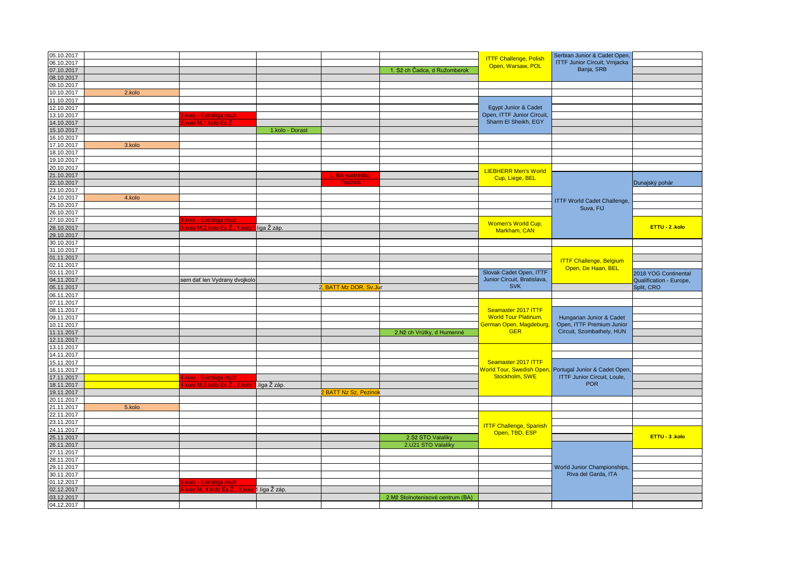| 05.10.2017               |        |                                     |                 |                            |                                  | <b>ITTF Challenge, Polish</b><br>Open, Warsaw, POL | Serbian Junior & Cadet Open,<br><b>ITTF Junior Circuit, Vrnjacka</b> |                                                 |
|--------------------------|--------|-------------------------------------|-----------------|----------------------------|----------------------------------|----------------------------------------------------|----------------------------------------------------------------------|-------------------------------------------------|
| 06.10.2017               |        |                                     |                 |                            |                                  |                                                    |                                                                      |                                                 |
| 07.10.2017               |        |                                     |                 |                            | 1. Sž ch Čadca, d Ružomberok     |                                                    | Banja, SRB                                                           |                                                 |
| 08.10.2017               |        |                                     |                 |                            |                                  |                                                    |                                                                      |                                                 |
| 09.10.2017               |        |                                     |                 |                            |                                  |                                                    |                                                                      |                                                 |
| 10.10.2017               | 2.kolo |                                     |                 |                            |                                  |                                                    |                                                                      |                                                 |
| 11.10.2017               |        |                                     |                 |                            |                                  |                                                    |                                                                      |                                                 |
| 12.10.2017               |        |                                     |                 |                            |                                  | Egypt Junior & Cadet                               |                                                                      |                                                 |
| 13.10.2017               |        | <mark>.kolo - Extraliga muži</mark> |                 |                            |                                  | Open, ITTF Junior Circuit,                         |                                                                      |                                                 |
| 14.10.2017               |        | kolo M,1.kolo Ex Ž                  |                 |                            |                                  | Sharm El Sheikh, EGY                               |                                                                      |                                                 |
| 15.10.2017               |        |                                     | 1.kolo - Dorast |                            |                                  |                                                    |                                                                      |                                                 |
| 16.10.2017               |        |                                     |                 |                            |                                  |                                                    |                                                                      |                                                 |
| 17.10.2017               | 3.kolo |                                     |                 |                            |                                  |                                                    |                                                                      |                                                 |
|                          |        |                                     |                 |                            |                                  |                                                    |                                                                      |                                                 |
| 18.10.2017               |        |                                     |                 |                            |                                  |                                                    |                                                                      |                                                 |
| 19.10.2017               |        |                                     |                 |                            |                                  |                                                    |                                                                      |                                                 |
| 20.10.2017               |        |                                     |                 |                            |                                  | <b>LIEBHERR Men's World</b>                        |                                                                      |                                                 |
| 21.10.2017               |        |                                     |                 | 1. BA sustredko<br>Pezinok |                                  | Cup, Liege, BEL                                    |                                                                      |                                                 |
| 22.10.2017               |        |                                     |                 |                            |                                  |                                                    |                                                                      | Dunajský pohár                                  |
| 23.10.2017               |        |                                     |                 |                            |                                  |                                                    |                                                                      |                                                 |
| 24.10.2017               | 4.kolo |                                     |                 |                            |                                  |                                                    | <b>ITTF World Cadet Challenge,</b>                                   |                                                 |
| 25.10.2017               |        |                                     |                 |                            |                                  |                                                    | Suva, FIJ                                                            |                                                 |
| 26.10.2017               |        |                                     |                 |                            |                                  |                                                    |                                                                      |                                                 |
| 27.10.2017               |        | .kolo - Extraliga muži              |                 |                            |                                  |                                                    |                                                                      |                                                 |
| 28.10.2017               |        | kolo M,2.kolo Ex Ž.<br>1.ko         | liga Ž záp.     |                            |                                  | <b>Women's World Cup,</b>                          |                                                                      | ETTU - 2. kolo                                  |
| 29.10.2017               |        |                                     |                 |                            |                                  | Markham, CAN                                       |                                                                      |                                                 |
| 30.10.2017               |        |                                     |                 |                            |                                  |                                                    |                                                                      |                                                 |
| 31.10.2017               |        |                                     |                 |                            |                                  |                                                    |                                                                      |                                                 |
| 01.11.2017               |        |                                     |                 |                            |                                  |                                                    |                                                                      |                                                 |
| 02.11.2017               |        |                                     |                 |                            |                                  |                                                    | <b>ITTF Challenge, Belgium</b>                                       |                                                 |
| 03.11.2017               |        |                                     |                 |                            |                                  | Slovak Cadet Open, ITTF                            | Open, De Haan, BEL                                                   |                                                 |
| 04.11.2017               |        | sem dať len Vydrany dvojkolo        |                 |                            |                                  | Junior Circuit, Bratislava,                        |                                                                      | 2018 YOG Continental<br>Qualification - Europe, |
|                          |        |                                     |                 |                            |                                  |                                                    |                                                                      |                                                 |
|                          |        |                                     |                 |                            |                                  |                                                    |                                                                      |                                                 |
| 05.11.2017               |        |                                     |                 | 2. BATT Mz DOR, Sv.Jur     |                                  | <b>SVK</b>                                         |                                                                      | Split, CRO                                      |
| 06.11.2017               |        |                                     |                 |                            |                                  |                                                    |                                                                      |                                                 |
| 07.11.2017               |        |                                     |                 |                            |                                  |                                                    |                                                                      |                                                 |
| 08.11.2017               |        |                                     |                 |                            |                                  | Seamaster 2017 ITTF                                |                                                                      |                                                 |
| 09.11.2017               |        |                                     |                 |                            |                                  | <b>World Tour Platinum,</b>                        | Hungarian Junior & Cadet                                             |                                                 |
| 10.11.2017               |        |                                     |                 |                            |                                  | German Open, Magdeburg,                            | Open, ITTF Premium Junior                                            |                                                 |
| 11.11.2017               |        |                                     |                 |                            | 2.Nž ch Vrútky, d Humenné        | <b>GER</b>                                         | Circuit, Szombathely, HUN                                            |                                                 |
| 12.11.2017               |        |                                     |                 |                            |                                  |                                                    |                                                                      |                                                 |
| 13.11.2017               |        |                                     |                 |                            |                                  |                                                    |                                                                      |                                                 |
| 14.11.2017               |        |                                     |                 |                            |                                  |                                                    |                                                                      |                                                 |
| 15.11.2017               |        |                                     |                 |                            |                                  | Seamaster 2017 ITTF                                |                                                                      |                                                 |
| 16.11.2017               |        |                                     |                 |                            |                                  | <b>Norld Tour, Swedish Open</b>                    | Portugal Junior & Cadet Open,                                        |                                                 |
| 17.11.2017               |        | 1.kolo - Extraliga muži             |                 |                            |                                  | Stockholm, SWE                                     | <b>ITTF Junior Circuit, Loule,</b>                                   |                                                 |
| 18.11.2017               |        |                                     |                 |                            |                                  |                                                    | <b>POR</b>                                                           |                                                 |
| 19.11.2017               |        | I.kolo M,3.kolo Ex Ž., 2.kol        | liga Ž záp.     | 2 BATT Nz Sz, Pezinok      |                                  |                                                    |                                                                      |                                                 |
|                          |        |                                     |                 |                            |                                  |                                                    |                                                                      |                                                 |
| 20.11.2017               |        |                                     |                 |                            |                                  |                                                    |                                                                      |                                                 |
| 21.11.2017               | 5.kolo |                                     |                 |                            |                                  |                                                    |                                                                      |                                                 |
| 22.11.2017               |        |                                     |                 |                            |                                  |                                                    |                                                                      |                                                 |
| 23.11.2017               |        |                                     |                 |                            |                                  | <b>ITTF Challenge, Spanish</b>                     |                                                                      |                                                 |
| 24.11.2017               |        |                                     |                 |                            |                                  | Open, TBD, ESP                                     |                                                                      |                                                 |
| 25.11.2017               |        |                                     |                 |                            | 2.Sž STO Valaliky                |                                                    |                                                                      | ETTU - 3 .kolo                                  |
| 26.11.2017               |        |                                     |                 |                            | 2.U21 STO Valaliky               |                                                    |                                                                      |                                                 |
| 27.11.2017               |        |                                     |                 |                            |                                  |                                                    |                                                                      |                                                 |
| 28.11.2017               |        |                                     |                 |                            |                                  |                                                    |                                                                      |                                                 |
| 29.11.2017               |        |                                     |                 |                            |                                  |                                                    | World Junior Championships,                                          |                                                 |
| 30.11.2017               |        |                                     |                 |                            |                                  |                                                    | Riva del Garda, ITA                                                  |                                                 |
| 01.12.2017               |        | kolo - Extraliga muži               |                 |                            |                                  |                                                    |                                                                      |                                                 |
| 02.12.2017               |        | kolo M. 4.kolo Ex Ž.                | 1.liga Ž záp.   |                            |                                  |                                                    |                                                                      |                                                 |
| 03.12.2017<br>04.12.2017 |        |                                     |                 |                            | 2.Mž Stolnotenisové centrum (BA) |                                                    |                                                                      |                                                 |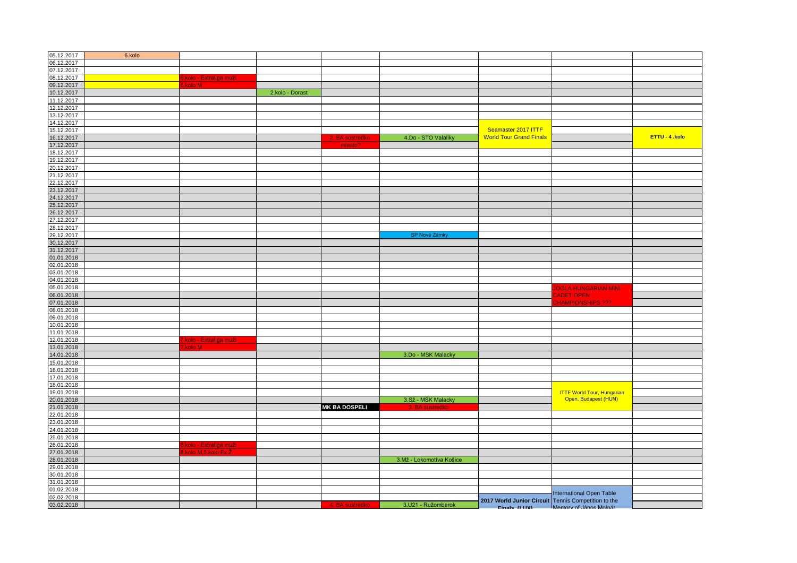| 05.12.2017 | 6.kolo |                                                    |                 |                      |                          |                                                                     |                                   |                |
|------------|--------|----------------------------------------------------|-----------------|----------------------|--------------------------|---------------------------------------------------------------------|-----------------------------------|----------------|
| 06.12.2017 |        |                                                    |                 |                      |                          |                                                                     |                                   |                |
| 07.12.2017 |        |                                                    |                 |                      |                          |                                                                     |                                   |                |
| 08.12.2017 |        |                                                    |                 |                      |                          |                                                                     |                                   |                |
| 09.12.2017 |        | <mark>6.kolo - Extraliga muži -</mark><br>6.kolo M |                 |                      |                          |                                                                     |                                   |                |
| 10.12.2017 |        |                                                    | 2.kolo - Dorast |                      |                          |                                                                     |                                   |                |
| 11.12.2017 |        |                                                    |                 |                      |                          |                                                                     |                                   |                |
| 12.12.2017 |        |                                                    |                 |                      |                          |                                                                     |                                   |                |
| 13.12.2017 |        |                                                    |                 |                      |                          |                                                                     |                                   |                |
| 14.12.2017 |        |                                                    |                 |                      |                          |                                                                     |                                   |                |
| 15.12.2017 |        |                                                    |                 |                      |                          | Seamaster 2017 ITTF                                                 |                                   |                |
| 16.12.2017 |        |                                                    |                 | 2. BA sustredko      | 4.Do - STO Valaliky      | <b>World Tour Grand Finals</b>                                      |                                   | ETTU - 4 .kolo |
| 17.12.2017 |        |                                                    |                 | miesto?              |                          |                                                                     |                                   |                |
| 18.12.2017 |        |                                                    |                 |                      |                          |                                                                     |                                   |                |
| 19.12.2017 |        |                                                    |                 |                      |                          |                                                                     |                                   |                |
| 20.12.2017 |        |                                                    |                 |                      |                          |                                                                     |                                   |                |
| 21.12.2017 |        |                                                    |                 |                      |                          |                                                                     |                                   |                |
| 22.12.2017 |        |                                                    |                 |                      |                          |                                                                     |                                   |                |
| 23.12.2017 |        |                                                    |                 |                      |                          |                                                                     |                                   |                |
| 24.12.2017 |        |                                                    |                 |                      |                          |                                                                     |                                   |                |
| 25.12.2017 |        |                                                    |                 |                      |                          |                                                                     |                                   |                |
| 26.12.2017 |        |                                                    |                 |                      |                          |                                                                     |                                   |                |
| 27.12.2017 |        |                                                    |                 |                      |                          |                                                                     |                                   |                |
| 28.12.2017 |        |                                                    |                 |                      |                          |                                                                     |                                   |                |
| 29.12.2017 |        |                                                    |                 |                      | SP Nové Zámky            |                                                                     |                                   |                |
| 30.12.2017 |        |                                                    |                 |                      |                          |                                                                     |                                   |                |
| 31.12.2017 |        |                                                    |                 |                      |                          |                                                                     |                                   |                |
| 01.01.2018 |        |                                                    |                 |                      |                          |                                                                     |                                   |                |
| 02.01.2018 |        |                                                    |                 |                      |                          |                                                                     |                                   |                |
| 03.01.2018 |        |                                                    |                 |                      |                          |                                                                     |                                   |                |
| 04.01.2018 |        |                                                    |                 |                      |                          |                                                                     |                                   |                |
| 05.01.2018 |        |                                                    |                 |                      |                          |                                                                     | <b>JOOLA HUNGARIAN MINI</b>       |                |
| 06.01.2018 |        |                                                    |                 |                      |                          |                                                                     | <b>CADET OPEN</b>                 |                |
| 07.01.2018 |        |                                                    |                 |                      |                          |                                                                     | <b>CHAMPIONSHIPS ???</b>          |                |
| 08.01.2018 |        |                                                    |                 |                      |                          |                                                                     |                                   |                |
| 09.01.2018 |        |                                                    |                 |                      |                          |                                                                     |                                   |                |
| 10.01.2018 |        |                                                    |                 |                      |                          |                                                                     |                                   |                |
| 11.01.2018 |        |                                                    |                 |                      |                          |                                                                     |                                   |                |
| 12.01.2018 |        | .kolo - Extraliga muži                             |                 |                      |                          |                                                                     |                                   |                |
| 13.01.2018 |        | kolo M                                             |                 |                      |                          |                                                                     |                                   |                |
| 14.01.2018 |        |                                                    |                 |                      | 3.Do - MSK Malacky       |                                                                     |                                   |                |
| 15.01.2018 |        |                                                    |                 |                      |                          |                                                                     |                                   |                |
| 16.01.2018 |        |                                                    |                 |                      |                          |                                                                     |                                   |                |
| 17.01.2018 |        |                                                    |                 |                      |                          |                                                                     |                                   |                |
| 18.01.2018 |        |                                                    |                 |                      |                          |                                                                     |                                   |                |
| 19.01.2018 |        |                                                    |                 |                      |                          |                                                                     | <b>ITTF World Tour, Hungarian</b> |                |
| 20.01.2018 |        |                                                    |                 |                      | 3.Sž - MSK Malacky       |                                                                     | Open, Budapest (HUN)              |                |
| 21.01.2018 |        |                                                    |                 | <b>MK BA DOSPELI</b> | 3. BA sustredko          |                                                                     |                                   |                |
| 22.01.2018 |        |                                                    |                 |                      |                          |                                                                     |                                   |                |
| 23.01.2018 |        |                                                    |                 |                      |                          |                                                                     |                                   |                |
| 24.01.2018 |        |                                                    |                 |                      |                          |                                                                     |                                   |                |
| 25.01.2018 |        |                                                    |                 |                      |                          |                                                                     |                                   |                |
| 26.01.2018 |        | kolo - Extraliga muži                              |                 |                      |                          |                                                                     |                                   |                |
| 27.01.2018 |        | .kolo M,5.kolo Ex Ž                                |                 |                      |                          |                                                                     |                                   |                |
| 28.01.2018 |        |                                                    |                 |                      | 3.Mž - Lokomotíva Košice |                                                                     |                                   |                |
| 29.01.2018 |        |                                                    |                 |                      |                          |                                                                     |                                   |                |
| 30.01.2018 |        |                                                    |                 |                      |                          |                                                                     |                                   |                |
| 31.01.2018 |        |                                                    |                 |                      |                          |                                                                     |                                   |                |
| 01.02.2018 |        |                                                    |                 |                      |                          |                                                                     |                                   |                |
| 02.02.2018 |        |                                                    |                 |                      |                          |                                                                     | <b>International Open Table</b>   |                |
| 03.02.2018 |        |                                                    |                 | 4. BA sustredko      | 3.U21 - Ružomberok       | 2017 World Junior Circuit Tennis Competition to the<br>Finals (LHX) | Memory of János Molnár            |                |
|            |        |                                                    |                 |                      |                          |                                                                     |                                   |                |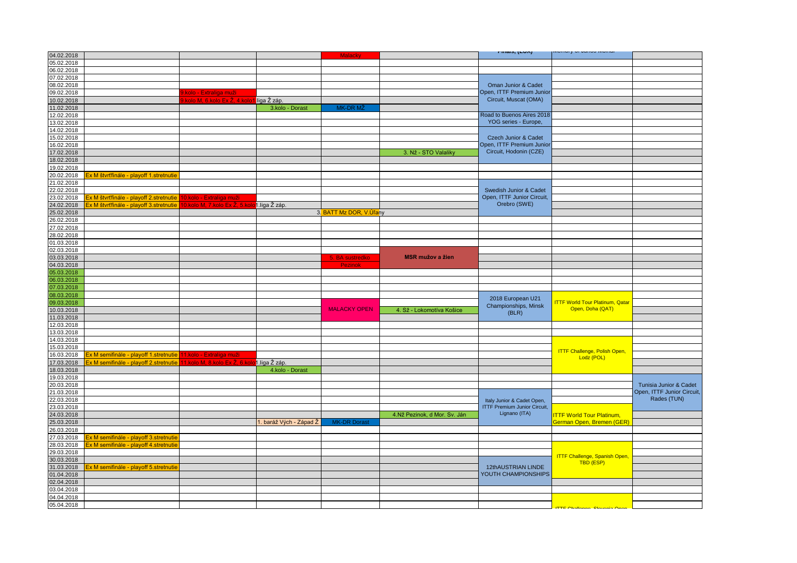|            |                                                                                        |                                            |                        |                         |                              | 1 111aio, (LUA)                                                   | unury ur uunuu mu                      |                            |
|------------|----------------------------------------------------------------------------------------|--------------------------------------------|------------------------|-------------------------|------------------------------|-------------------------------------------------------------------|----------------------------------------|----------------------------|
| 04.02.2018 |                                                                                        |                                            |                        | Malacky                 |                              |                                                                   |                                        |                            |
| 05.02.2018 |                                                                                        |                                            |                        |                         |                              |                                                                   |                                        |                            |
| 06.02.2018 |                                                                                        |                                            |                        |                         |                              |                                                                   |                                        |                            |
| 07.02.2018 |                                                                                        |                                            |                        |                         |                              |                                                                   |                                        |                            |
| 08.02.2018 |                                                                                        |                                            |                        |                         |                              | Oman Junior & Cadet                                               |                                        |                            |
|            |                                                                                        |                                            |                        |                         |                              | Open, ITTF Premium Junior                                         |                                        |                            |
| 09.02.2018 |                                                                                        | .kolo - Extraliga muži                     |                        |                         |                              |                                                                   |                                        |                            |
| 10.02.2018 |                                                                                        | kolo M, 6.kolo Ex Ž, 4.kol                 | liga Ž záp.            |                         |                              | Circuit, Muscat (OMA)                                             |                                        |                            |
| 11.02.2018 |                                                                                        |                                            | 3.kolo - Dorast        | MK-DR MŽ                |                              |                                                                   |                                        |                            |
| 12.02.2018 |                                                                                        |                                            |                        |                         |                              | Road to Buenos Aires 2018                                         |                                        |                            |
| 13.02.2018 |                                                                                        |                                            |                        |                         |                              | YOG series - Europe,                                              |                                        |                            |
| 14.02.2018 |                                                                                        |                                            |                        |                         |                              |                                                                   |                                        |                            |
| 15.02.2018 |                                                                                        |                                            |                        |                         |                              | Czech Junior & Cadet                                              |                                        |                            |
|            |                                                                                        |                                            |                        |                         |                              |                                                                   |                                        |                            |
| 16.02.2018 |                                                                                        |                                            |                        |                         |                              | Open, ITTF Premium Junior                                         |                                        |                            |
| 17.02.2018 |                                                                                        |                                            |                        |                         | 3. Nž - STO Valaliky         | Circuit, Hodonin (CZE)                                            |                                        |                            |
| 18.02.2018 |                                                                                        |                                            |                        |                         |                              |                                                                   |                                        |                            |
| 19.02.2018 |                                                                                        |                                            |                        |                         |                              |                                                                   |                                        |                            |
| 20.02.2018 | x M štvrťfinále - playoff 1.stretnutie                                                 |                                            |                        |                         |                              |                                                                   |                                        |                            |
| 21.02.2018 |                                                                                        |                                            |                        |                         |                              |                                                                   |                                        |                            |
| 22.02.2018 |                                                                                        |                                            |                        |                         |                              | Swedish Junior & Cadet                                            |                                        |                            |
|            |                                                                                        |                                            |                        |                         |                              |                                                                   |                                        |                            |
| 23.02.2018 | <u> ix M štvrťfinále - playoff 2.stretnutie <mark>10.kolo - Extraliga muži</mark>.</u> |                                            |                        |                         |                              | Open, ITTF Junior Circuit,                                        |                                        |                            |
| 24.02.2018 | x M štvrťfinále - playoff 3.stretnutie                                                 | 0.kolo M, 7.kolo Ex Ž, 5.ko                | 1.liga Ž záp.          |                         |                              | Orebro (SWE)                                                      |                                        |                            |
| 25.02.2018 |                                                                                        |                                            |                        | 3. BATT Mz DOR, V.Ulany |                              |                                                                   |                                        |                            |
| 26.02.2018 |                                                                                        |                                            |                        |                         |                              |                                                                   |                                        |                            |
| 27.02.2018 |                                                                                        |                                            |                        |                         |                              |                                                                   |                                        |                            |
| 28.02.2018 |                                                                                        |                                            |                        |                         |                              |                                                                   |                                        |                            |
|            |                                                                                        |                                            |                        |                         |                              |                                                                   |                                        |                            |
| 01.03.2018 |                                                                                        |                                            |                        |                         |                              |                                                                   |                                        |                            |
| 02.03.2018 |                                                                                        |                                            |                        |                         |                              |                                                                   |                                        |                            |
| 03.03.2018 |                                                                                        |                                            |                        | 5. BA sustredko         | <b>MSR mužov a žien</b>      |                                                                   |                                        |                            |
| 04.03.2018 |                                                                                        |                                            |                        | <b>Pezinok</b>          |                              |                                                                   |                                        |                            |
| 05.03.2018 |                                                                                        |                                            |                        |                         |                              |                                                                   |                                        |                            |
| 06.03.2018 |                                                                                        |                                            |                        |                         |                              |                                                                   |                                        |                            |
| 07.03.2018 |                                                                                        |                                            |                        |                         |                              |                                                                   |                                        |                            |
| 08.03.2018 |                                                                                        |                                            |                        |                         |                              |                                                                   |                                        |                            |
|            |                                                                                        |                                            |                        |                         |                              | 2018 European U21                                                 |                                        |                            |
| 09.03.2018 |                                                                                        |                                            |                        |                         |                              | Championships, Minsk                                              | <b>ITTF World Tour Platinum, Qatar</b> |                            |
| 10.03.2018 |                                                                                        |                                            |                        | <b>MALACKY OPEN</b>     | 4. Sž - Lokomotíva Košice    | (BLR)                                                             | Open, Doha (QAT)                       |                            |
| 11.03.2018 |                                                                                        |                                            |                        |                         |                              |                                                                   |                                        |                            |
| 12.03.2018 |                                                                                        |                                            |                        |                         |                              |                                                                   |                                        |                            |
| 13.03.2018 |                                                                                        |                                            |                        |                         |                              |                                                                   |                                        |                            |
| 14.03.2018 |                                                                                        |                                            |                        |                         |                              |                                                                   |                                        |                            |
|            |                                                                                        |                                            |                        |                         |                              |                                                                   |                                        |                            |
| 15.03.2018 |                                                                                        |                                            |                        |                         |                              |                                                                   | <b>ITTF Challenge, Polish Open,</b>    |                            |
| 16.03.2018 | x M semifinále - playoff 1.stretnutie                                                  | 11.kolo - Extraliga muži                   |                        |                         |                              |                                                                   | Lodz (POL)                             |                            |
| 17.03.2018 | x M semifinále - playoff 2.stretnutie                                                  | 1.kolo M, 8.kolo Ex Ž, 6.kolo1.liga Ž záp. |                        |                         |                              |                                                                   |                                        |                            |
| 18.03.2018 |                                                                                        |                                            | 4.kolo - Dorast        |                         |                              |                                                                   |                                        |                            |
| 19.03.2018 |                                                                                        |                                            |                        |                         |                              |                                                                   |                                        |                            |
| 20.03.2018 |                                                                                        |                                            |                        |                         |                              |                                                                   |                                        | Tunisia Junior & Cadet     |
| 21.03.2018 |                                                                                        |                                            |                        |                         |                              |                                                                   |                                        | Open, ITTF Junior Circuit, |
| 22.03.2018 |                                                                                        |                                            |                        |                         |                              |                                                                   |                                        | Rades (TUN)                |
|            |                                                                                        |                                            |                        |                         |                              | Italy Junior & Cadet Open,<br><b>ITTF Premium Junior Circuit,</b> |                                        |                            |
| 23.03.2018 |                                                                                        |                                            |                        |                         |                              |                                                                   |                                        |                            |
| 24.03.2018 |                                                                                        |                                            |                        |                         | 4.Nž Pezinok, d Mor. Sv. Ján | Lignano (ITA)                                                     | <b>TTF World Tour Platinum,</b>        |                            |
| 25.03.2018 |                                                                                        |                                            | . baráž Vých - Západ Ž | <b>MK-DR Dorast</b>     |                              |                                                                   | German Open, Bremen (GER)              |                            |
| 26.03.2018 |                                                                                        |                                            |                        |                         |                              |                                                                   |                                        |                            |
| 27.03.2018 | x M semifinále - playoff 3.stretnutie                                                  |                                            |                        |                         |                              |                                                                   |                                        |                            |
| 28.03.2018 | x M semifinále - playoff 4.stretnutie                                                  |                                            |                        |                         |                              |                                                                   |                                        |                            |
| 29.03.2018 |                                                                                        |                                            |                        |                         |                              |                                                                   |                                        |                            |
|            |                                                                                        |                                            |                        |                         |                              |                                                                   | <b>ITTF Challenge, Spanish Open,</b>   |                            |
| 30.03.2018 |                                                                                        |                                            |                        |                         |                              |                                                                   | <b>TBD (ESP)</b>                       |                            |
| 31.03.2018 | <u>Ex M semifinále - playoff 5.stretnutie</u>                                          |                                            |                        |                         |                              | 12thAUSTRIAN LINDE                                                |                                        |                            |
| 01.04.2018 |                                                                                        |                                            |                        |                         |                              | YOUTH CHAMPIONSHIPS                                               |                                        |                            |
| 02.04.2018 |                                                                                        |                                            |                        |                         |                              |                                                                   |                                        |                            |
| 03.04.2018 |                                                                                        |                                            |                        |                         |                              |                                                                   |                                        |                            |
| 04.04.2018 |                                                                                        |                                            |                        |                         |                              |                                                                   |                                        |                            |
| 05.04.2018 |                                                                                        |                                            |                        |                         |                              |                                                                   |                                        |                            |
|            |                                                                                        |                                            |                        |                         |                              |                                                                   | <b>ITTE Challange Slovenia Onan</b>    |                            |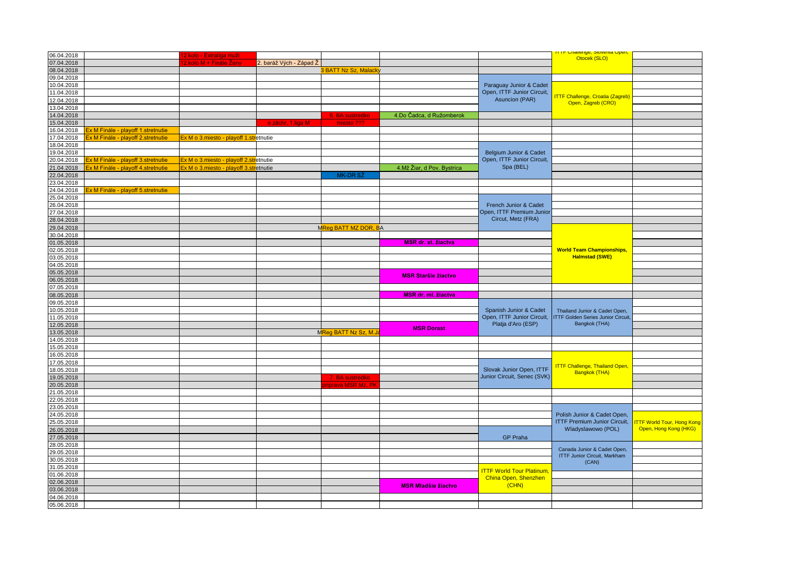| 06.04.2018 |                                    | <mark>2.kolo - Extraliga muži</mark>   |                        |                      |                            |                                 | <u>ialienye, Jiuvenia Upen</u><br>Otocek (SLO)                |                                  |
|------------|------------------------------------|----------------------------------------|------------------------|----------------------|----------------------------|---------------------------------|---------------------------------------------------------------|----------------------------------|
| 07.04.2018 |                                    | <mark>.kolo M + Finále Ženγ</mark>     | . baráž Vých - Západ Ž |                      |                            |                                 |                                                               |                                  |
| 08.04.2018 |                                    |                                        |                        | 3 BATT Nz Sz, Malack |                            |                                 |                                                               |                                  |
| 09.04.2018 |                                    |                                        |                        |                      |                            |                                 |                                                               |                                  |
| 10.04.2018 |                                    |                                        |                        |                      |                            | Paraguay Junior & Cadet         |                                                               |                                  |
| 11.04.2018 |                                    |                                        |                        |                      |                            | Open, ITTF Junior Circuit,      |                                                               |                                  |
| 12.04.2018 |                                    |                                        |                        |                      |                            | Asuncion (PAR)                  | <b>ITTF Challenge, Croatia (Zagreb)</b><br>Open, Zagreb (CRO) |                                  |
| 13.04.2018 |                                    |                                        |                        |                      |                            |                                 |                                                               |                                  |
| 14.04.2018 |                                    |                                        |                        | 6. BA sustredko      | 4.Do Čadca, d Ružomberok   |                                 |                                                               |                                  |
| 15.04.2018 |                                    |                                        | o záchr, 1.liga M      | miesto ???           |                            |                                 |                                                               |                                  |
| 16.04.2018 | x M Finále - playoff 1.stretnutie  |                                        |                        |                      |                            |                                 |                                                               |                                  |
| 17.04.2018 | x M Finále - playoff 2.stretnutie  | Ex M o 3.miesto - playoff 1.stretnutie |                        |                      |                            |                                 |                                                               |                                  |
| 18.04.2018 |                                    |                                        |                        |                      |                            |                                 |                                                               |                                  |
| 19.04.2018 |                                    |                                        |                        |                      |                            | Belgium Junior & Cadet          |                                                               |                                  |
| 20.04.2018 | Ex M Finále - playoff 3.stretnutie | Ex M o 3.miesto - playoff 2.stretnutie |                        |                      |                            | Open, ITTF Junior Circuit,      |                                                               |                                  |
| 21.04.2018 | x M Finále - playoff 4.stretnutie  | Ex M o 3.miesto - playoff 3.stretnutie |                        |                      | 4.Mž Žiar, d Pov. Bystrica | Spa (BEL)                       |                                                               |                                  |
| 22.04.2018 |                                    |                                        |                        | MK-DR SŽ             |                            |                                 |                                                               |                                  |
| 23.04.2018 |                                    |                                        |                        |                      |                            |                                 |                                                               |                                  |
| 24.04.2018 | x M Finále - playoff 5.stretnutie  |                                        |                        |                      |                            |                                 |                                                               |                                  |
| 25.04.2018 |                                    |                                        |                        |                      |                            |                                 |                                                               |                                  |
| 26.04.2018 |                                    |                                        |                        |                      |                            | French Junior & Cadet           |                                                               |                                  |
| 27.04.2018 |                                    |                                        |                        |                      |                            | Open, ITTF Premium Junior       |                                                               |                                  |
| 28.04.2018 |                                    |                                        |                        |                      |                            | Circut, Metz (FRA)              |                                                               |                                  |
| 29.04.2018 |                                    |                                        |                        | MReg BATT MZ DOR, BA |                            |                                 |                                                               |                                  |
| 30.04.2018 |                                    |                                        |                        |                      |                            |                                 |                                                               |                                  |
| 01.05.2018 |                                    |                                        |                        |                      | <b>MSR dr. st. žiactva</b> |                                 |                                                               |                                  |
| 02.05.2018 |                                    |                                        |                        |                      |                            |                                 | <b>World Team Championships,</b>                              |                                  |
| 03.05.2018 |                                    |                                        |                        |                      |                            |                                 | <b>Halmstad (SWE)</b>                                         |                                  |
| 04.05.2018 |                                    |                                        |                        |                      |                            |                                 |                                                               |                                  |
| 05.05.2018 |                                    |                                        |                        |                      |                            |                                 |                                                               |                                  |
| 06.05.2018 |                                    |                                        |                        |                      | <b>MSR Staršie žiactvo</b> |                                 |                                                               |                                  |
| 07.05.2018 |                                    |                                        |                        |                      |                            |                                 |                                                               |                                  |
| 08.05.2018 |                                    |                                        |                        |                      | <b>MSR dr. ml. žiactva</b> |                                 |                                                               |                                  |
| 09.05.2018 |                                    |                                        |                        |                      |                            |                                 |                                                               |                                  |
| 10.05.2018 |                                    |                                        |                        |                      |                            | Spanish Junior & Cadet          | Thailand Junior & Cadet Open,                                 |                                  |
| 11.05.2018 |                                    |                                        |                        |                      |                            | Open, ITTF Junior Circuit,      | <b>ITTF Golden Series Junior Circuit,</b>                     |                                  |
| 12.05.2018 |                                    |                                        |                        |                      |                            | Platja d'Aro (ESP)              | Bangkok (THA)                                                 |                                  |
| 13.05.2018 |                                    |                                        |                        | MReg BATT Nz Sz, M.J | <b>MSR Dorast</b>          |                                 |                                                               |                                  |
| 14.05.2018 |                                    |                                        |                        |                      |                            |                                 |                                                               |                                  |
| 15.05.2018 |                                    |                                        |                        |                      |                            |                                 |                                                               |                                  |
| 16.05.2018 |                                    |                                        |                        |                      |                            |                                 |                                                               |                                  |
| 17.05.2018 |                                    |                                        |                        |                      |                            |                                 |                                                               |                                  |
| 18.05.2018 |                                    |                                        |                        |                      |                            | Slovak Junior Open, ITTF        | <b>ITTF Challenge, Thailand Open,</b>                         |                                  |
| 19.05.2018 |                                    |                                        |                        | 7. BA sustredko      |                            | Junior Circuit, Senec (SVK)     | Bangkok (THA)                                                 |                                  |
| 20.05.2018 |                                    |                                        |                        | iprava MSR Mz, Pł    |                            |                                 |                                                               |                                  |
| 21.05.2018 |                                    |                                        |                        |                      |                            |                                 |                                                               |                                  |
| 22.05.2018 |                                    |                                        |                        |                      |                            |                                 |                                                               |                                  |
| 23.05.2018 |                                    |                                        |                        |                      |                            |                                 |                                                               |                                  |
| 24.05.2018 |                                    |                                        |                        |                      |                            |                                 | Polish Junior & Cadet Open,                                   |                                  |
| 25.05.2018 |                                    |                                        |                        |                      |                            |                                 | <b>ITTF Premium Junior Circuit,</b>                           | <b>TTF World Tour, Hong Kong</b> |
| 26.05.2018 |                                    |                                        |                        |                      |                            |                                 | Wladyslawowo (POL)                                            | Open, Hong Kong (HKG)            |
| 27.05.2018 |                                    |                                        |                        |                      |                            | <b>GP Praha</b>                 |                                                               |                                  |
| 28.05.2018 |                                    |                                        |                        |                      |                            |                                 |                                                               |                                  |
| 29.05.2018 |                                    |                                        |                        |                      |                            |                                 | Canada Junior & Cadet Open,                                   |                                  |
| 30.05.2018 |                                    |                                        |                        |                      |                            |                                 | <b>ITTF Junior Circuit, Markham</b>                           |                                  |
| 31.05.2018 |                                    |                                        |                        |                      |                            |                                 | (CAN)                                                         |                                  |
| 01.06.2018 |                                    |                                        |                        |                      |                            | <b>ITTF World Tour Platinum</b> |                                                               |                                  |
| 02.06.2018 |                                    |                                        |                        |                      |                            | China Open, Shenzhen            |                                                               |                                  |
| 03.06.2018 |                                    |                                        |                        |                      | <b>MSR Mladšie žiactvo</b> | (CHN)                           |                                                               |                                  |
| 04.06.2018 |                                    |                                        |                        |                      |                            |                                 |                                                               |                                  |
| 05.06.2018 |                                    |                                        |                        |                      |                            |                                 |                                                               |                                  |
|            |                                    |                                        |                        |                      |                            |                                 |                                                               |                                  |